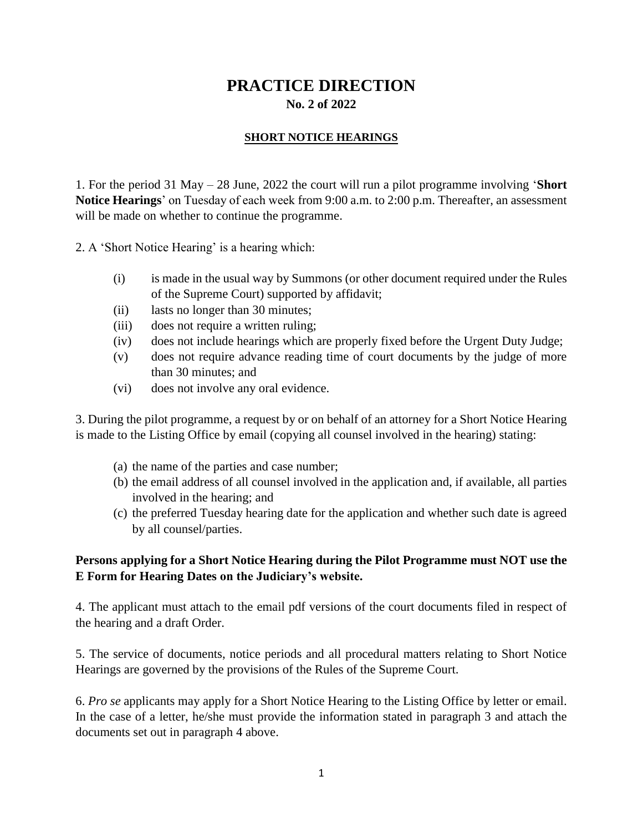## **PRACTICE DIRECTION No. 2 of 2022**

## **SHORT NOTICE HEARINGS**

1. For the period 31 May – 28 June, 2022 the court will run a pilot programme involving '**Short Notice Hearings**' on Tuesday of each week from 9:00 a.m. to 2:00 p.m. Thereafter, an assessment will be made on whether to continue the programme.

2. A 'Short Notice Hearing' is a hearing which:

- (i) is made in the usual way by Summons (or other document required under the Rules of the Supreme Court) supported by affidavit;
- (ii) lasts no longer than 30 minutes;
- (iii) does not require a written ruling;
- (iv) does not include hearings which are properly fixed before the Urgent Duty Judge;
- (v) does not require advance reading time of court documents by the judge of more than 30 minutes; and
- (vi) does not involve any oral evidence.

3. During the pilot programme, a request by or on behalf of an attorney for a Short Notice Hearing is made to the Listing Office by email (copying all counsel involved in the hearing) stating:

- (a) the name of the parties and case number;
- (b) the email address of all counsel involved in the application and, if available, all parties involved in the hearing; and
- (c) the preferred Tuesday hearing date for the application and whether such date is agreed by all counsel/parties.

## **Persons applying for a Short Notice Hearing during the Pilot Programme must NOT use the E Form for Hearing Dates on the Judiciary's website.**

4. The applicant must attach to the email pdf versions of the court documents filed in respect of the hearing and a draft Order.

5. The service of documents, notice periods and all procedural matters relating to Short Notice Hearings are governed by the provisions of the Rules of the Supreme Court.

6. *Pro se* applicants may apply for a Short Notice Hearing to the Listing Office by letter or email. In the case of a letter, he/she must provide the information stated in paragraph 3 and attach the documents set out in paragraph 4 above.